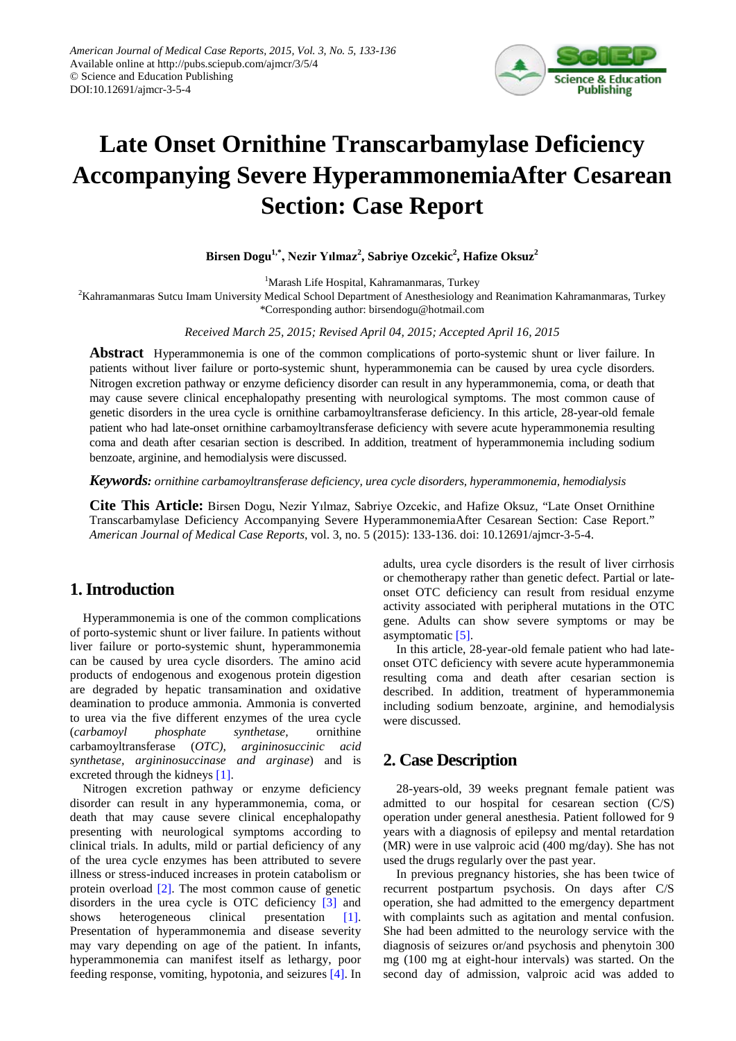

## **Late Onset Ornithine Transcarbamylase Deficiency Accompanying Severe HyperammonemiaAfter Cesarean Section: Case Report**

**Birsen Dogu1,\* , Nezir Yılmaz<sup>2</sup> , Sabriye Ozcekic<sup>2</sup> , Hafize Oksuz 2**

<sup>1</sup>Marash Life Hospital, Kahramanmaras, Turkey

 $^2$ Kahramanmaras Sutcu Imam University Medical School Department of Anesthesiology and Reanimation Kahramanmaras, Turkey

\*Corresponding author: birsendogu@hotmail.com

*Received March 25, 2015; Revised April 04, 2015; Accepted April 16, 2015*

**Abstract** Hyperammonemia is one of the common complications of porto-systemic shunt or liver failure. In patients without liver failure or porto-systemic shunt, hyperammonemia can be caused by urea cycle disorders. Nitrogen excretion pathway or enzyme deficiency disorder can result in any hyperammonemia, coma, or death that may cause severe clinical encephalopathy presenting with neurological symptoms. The most common cause of genetic disorders in the urea cycle is ornithine carbamoyltransferase deficiency. In this article, 28-year-old female patient who had late-onset ornithine carbamoyltransferase deficiency with severe acute hyperammonemia resulting coma and death after cesarian section is described. In addition, treatment of hyperammonemia including sodium benzoate, arginine, and hemodialysis were discussed.

*Keywords: ornithine carbamoyltransferase deficiency, urea cycle disorders, hyperammonemia, hemodialysis*

**Cite This Article:** Birsen Dogu, Nezir Yılmaz, Sabriye Ozcekic, and Hafize Oksuz, "Late Onset Ornithine Transcarbamylase Deficiency Accompanying Severe HyperammonemiaAfter Cesarean Section: Case Report." *American Journal of Medical Case Reports*, vol. 3, no. 5 (2015): 133-136. doi: 10.12691/ajmcr-3-5-4.

### **1. Introduction**

Hyperammonemia is one of the common complications of porto-systemic shunt or liver failure. In patients without liver failure or porto-systemic shunt, hyperammonemia can be caused by urea cycle disorders. The amino acid products of endogenous and exogenous protein digestion are degraded by hepatic transamination and oxidative deamination to produce ammonia. Ammonia is converted to urea via the five different enzymes of the urea cycle (*carbamoyl phosphate synthetase,* ornithine carbamoyltransferase (*OTC), argininosuccinic acid synthetase, argininosuccinase and arginase*) and is excreted through the kidneys [\[1\].](#page-2-0)

Nitrogen excretion pathway or enzyme deficiency disorder can result in any hyperammonemia, coma, or death that may cause severe clinical encephalopathy presenting with neurological symptoms according to clinical trials. In adults, mild or partial deficiency of any of the urea cycle enzymes has been attributed to severe illness or stress-induced increases in protein catabolism or protein overload [\[2\].](#page-3-0) The most common cause of genetic disorders in the urea cycle is OTC deficiency [\[3\]](#page-3-1) and shows heterogeneous clinical presentation [\[1\].](#page-2-0) Presentation of hyperammonemia and disease severity may vary depending on age of the patient. In infants, hyperammonemia can manifest itself as lethargy, poor feeding response, vomiting, hypotonia, and seizures [\[4\].](#page-3-2) In adults, urea cycle disorders is the result of liver cirrhosis or chemotherapy rather than genetic defect. Partial or lateonset OTC deficiency can result from residual enzyme activity associated with peripheral mutations in the OTC gene. Adults can show severe symptoms or may be asymptomatic [\[5\].](#page-3-3)

In this article, 28-year-old female patient who had lateonset OTC deficiency with severe acute hyperammonemia resulting coma and death after cesarian section is described. In addition, treatment of hyperammonemia including sodium benzoate, arginine, and hemodialysis were discussed.

## **2. Case Description**

28-years-old, 39 weeks pregnant female patient was admitted to our hospital for cesarean section (C/S) operation under general anesthesia. Patient followed for 9 years with a diagnosis of epilepsy and mental retardation (MR) were in use valproic acid (400 mg/day). She has not used the drugs regularly over the past year.

In previous pregnancy histories, she has been twice of recurrent postpartum psychosis. On days after C/S operation, she had admitted to the emergency department with complaints such as agitation and mental confusion. She had been admitted to the neurology service with the diagnosis of seizures or/and psychosis and phenytoin 300 mg (100 mg at eight-hour intervals) was started. On the second day of admission, valproic acid was added to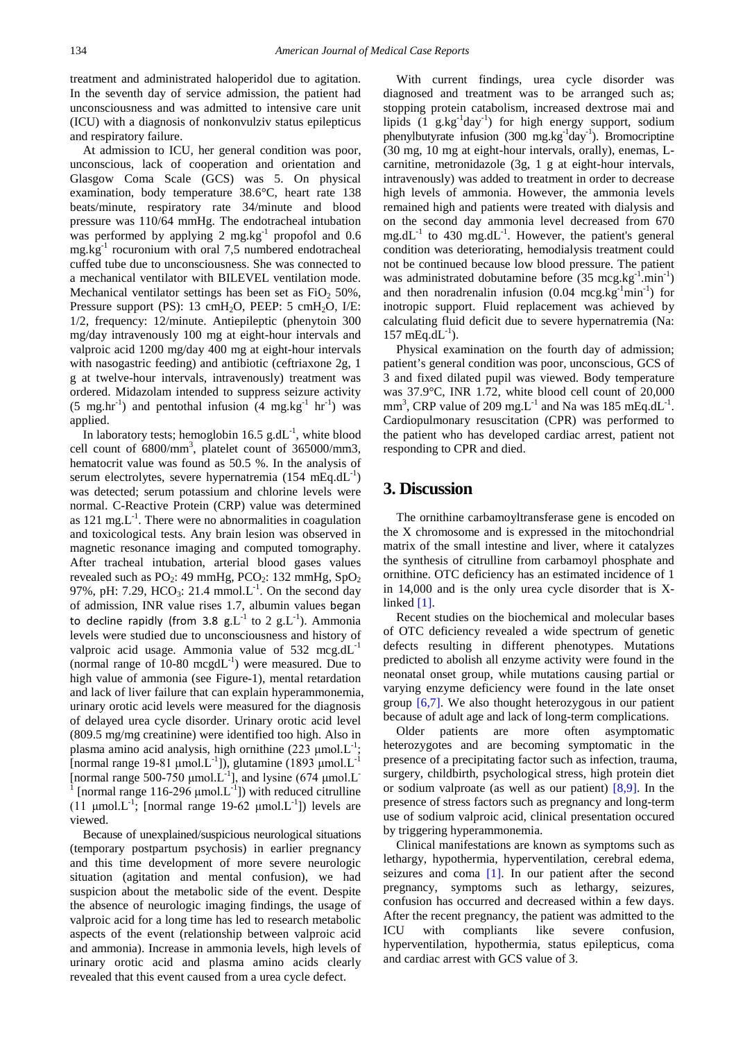treatment and administrated haloperidol due to agitation. In the seventh day of service admission, the patient had unconsciousness and was admitted to intensive care unit (ICU) with a diagnosis of nonkonvulziv status epilepticus and respiratory failure.

At admission to ICU, her general condition was poor, unconscious, lack of cooperation and orientation and Glasgow Coma Scale (GCS) was 5. On physical examination, body temperature 38.6°C, heart rate 138 beats/minute, respiratory rate 34/minute and blood pressure was 110/64 mmHg. The endotracheal intubation was performed by applying 2 mg.kg<sup>-1</sup> propofol and 0.6 mg.kg-1 rocuronium with oral 7,5 numbered endotracheal cuffed tube due to unconsciousness. She was connected to a mechanical ventilator with BILEVEL ventilation mode. Mechanical ventilator settings has been set as  $FiO<sub>2</sub> 50%$ , Pressure support (PS): 13 cmH<sub>2</sub>O, PEEP: 5 cmH<sub>2</sub>O, I/E: 1/2, frequency: 12/minute. Antiepileptic (phenytoin 300 mg/day intravenously 100 mg at eight-hour intervals and valproic acid 1200 mg/day 400 mg at eight-hour intervals with nasogastric feeding) and antibiotic (ceftriaxone 2g, 1 g at twelve-hour intervals, intravenously) treatment was ordered. Midazolam intended to suppress seizure activity  $(5 \text{ mg/hr}^{-1})$  and pentothal infusion  $(4 \text{ mg/kg}^{-1} \text{ hr}^{-1})$  was applied.

In laboratory tests; hemoglobin 16.5  $g.dL^{-1}$ , white blood cell count of 6800/mm3 , platelet count of 365000/mm3, hematocrit value was found as 50.5 %. In the analysis of serum electrolytes, severe hypernatremia  $(154 \text{ mEq.dL}^{-1})$ was detected; serum potassium and chlorine levels were normal. C-Reactive Protein (CRP) value was determined as  $121 \text{ mg.L}^{-1}$ . There were no abnormalities in coagulation and toxicological tests. Any brain lesion was observed in magnetic resonance imaging and computed tomography. After tracheal intubation, arterial blood gases values revealed such as  $PO_2$ : 49 mmHg,  $PCO_2$ : 132 mmHg,  $SpO_2$ 97%, pH: 7.29, HCO<sub>3</sub>: 21.4 mmol.L<sup>-1</sup>. On the second day of admission, INR value rises 1.7, albumin values began to decline rapidly (from 3.8 g.L<sup>-1</sup> to 2 g.L<sup>-1</sup>). Ammonia levels were studied due to unconsciousness and history of valproic acid usage. Ammonia value of  $532 \text{ meg.dL}^{-1}$ (normal range of  $10-80 \text{ mcgdL}^{-1}$ ) were measured. Due to high value of ammonia (see Figure-1), mental retardation and lack of liver failure that can explain hyperammonemia, urinary orotic acid levels were measured for the diagnosis of delayed urea cycle disorder. Urinary orotic acid level (809.5 mg/mg creatinine) were identified too high. Also in plasma amino acid analysis, high ornithine  $(223 \mu \text{mol} \cdot \text{L}^{-1})$ ; [normal range 19-81  $\mu$ mol.L<sup>-1</sup>]), glutamine (1893  $\mu$ mol.L<sup>-1</sup> [normal range 500-750  $\mu$ mol.L<sup>-1</sup>], and lysine (674  $\mu$ mol.L<sup>-1</sup>) <sup>1</sup> [normal range 116-296 μmol. $L^{-1}$ ]) with reduced citrulline (11  $\mu$ mol.L<sup>-1</sup>; [normal range 19-62  $\mu$ mol.L<sup>-1</sup>]) levels are viewed.

Because of unexplained/suspicious neurological situations (temporary postpartum psychosis) in earlier pregnancy and this time development of more severe neurologic situation (agitation and mental confusion), we had suspicion about the metabolic side of the event. Despite the absence of neurologic imaging findings, the usage of valproic acid for a long time has led to research metabolic aspects of the event (relationship between valproic acid and ammonia). Increase in ammonia levels, high levels of urinary orotic acid and plasma amino acids clearly revealed that this event caused from a urea cycle defect.

With current findings, urea cycle disorder was diagnosed and treatment was to be arranged such as; stopping protein catabolism, increased dextrose mai and lipids (1 g.kg<sup>-1</sup>day<sup>-1</sup>) for high energy support, sodium phenylbutyrate infusion (300 mg.kg<sup>-1</sup>day<sup>-1</sup>). Bromocriptine (30 mg, 10 mg at eight-hour intervals, orally), enemas, Lcarnitine, metronidazole (3g, 1 g at eight-hour intervals, intravenously) was added to treatment in order to decrease high levels of ammonia. However, the ammonia levels remained high and patients were treated with dialysis and on the second day ammonia level decreased from 670  $mg.dL^{-1}$  to 430 mg.dL<sup>-1</sup>. However, the patient's general condition was deteriorating, hemodialysis treatment could not be continued because low blood pressure. The patient was administrated dobutamine before (35 mcg.kg<sup>-1</sup>.min<sup>-1</sup>) and then noradrenalin infusion  $(0.04 \text{ meg.kg}^{-1}\text{min}^{-1})$  for inotropic support. Fluid replacement was achieved by calculating fluid deficit due to severe hypernatremia (Na: 157 mEq.d $L^{-1}$ ).

Physical examination on the fourth day of admission; patient's general condition was poor, unconscious, GCS of 3 and fixed dilated pupil was viewed. Body temperature was 37.9°C, INR 1.72, white blood cell count of 20,000 mm<sup>3</sup>, CRP value of 209 mg.L<sup>-1</sup> and Na was 185 mEq.dL<sup>-1</sup>. Cardiopulmonary resuscitation (CPR) was performed to the patient who has developed cardiac arrest, patient not responding to CPR and died.

#### **3. Discussion**

The ornithine carbamoyltransferase gene is encoded on the X chromosome and is expressed in the mitochondrial matrix of the small intestine and liver, where it catalyzes the synthesis of citrulline from carbamoyl phosphate and ornithine. OTC deficiency has an estimated incidence of 1 in 14,000 and is the only urea cycle disorder that is Xlinke[d \[1\].](#page-2-0)

Recent studies on the biochemical and molecular bases of OTC deficiency revealed a wide spectrum of genetic defects resulting in different phenotypes. Mutations predicted to abolish all enzyme activity were found in the neonatal onset group, while mutations causing partial or varying enzyme deficiency were found in the late onset group [\[6,7\].](#page-3-4) We also thought heterozygous in our patient because of adult age and lack of long-term complications.

Older patients are more often asymptomatic heterozygotes and are becoming symptomatic in the presence of a precipitating factor such as infection, trauma, surgery, childbirth, psychological stress, high protein diet or sodium valproate (as well as our patient) [\[8,9\].](#page-3-5) In the presence of stress factors such as pregnancy and long-term use of sodium valproic acid, clinical presentation occured by triggering hyperammonemia.

Clinical manifestations are known as symptoms such as lethargy, hypothermia, hyperventilation, cerebral edema, seizures and coma [\[1\].](#page-2-0) In our patient after the second pregnancy, symptoms such as lethargy, seizures, confusion has occurred and decreased within a few days. After the recent pregnancy, the patient was admitted to the ICU with compliants like severe confusion, hyperventilation, hypothermia, status epilepticus, coma and cardiac arrest with GCS value of 3.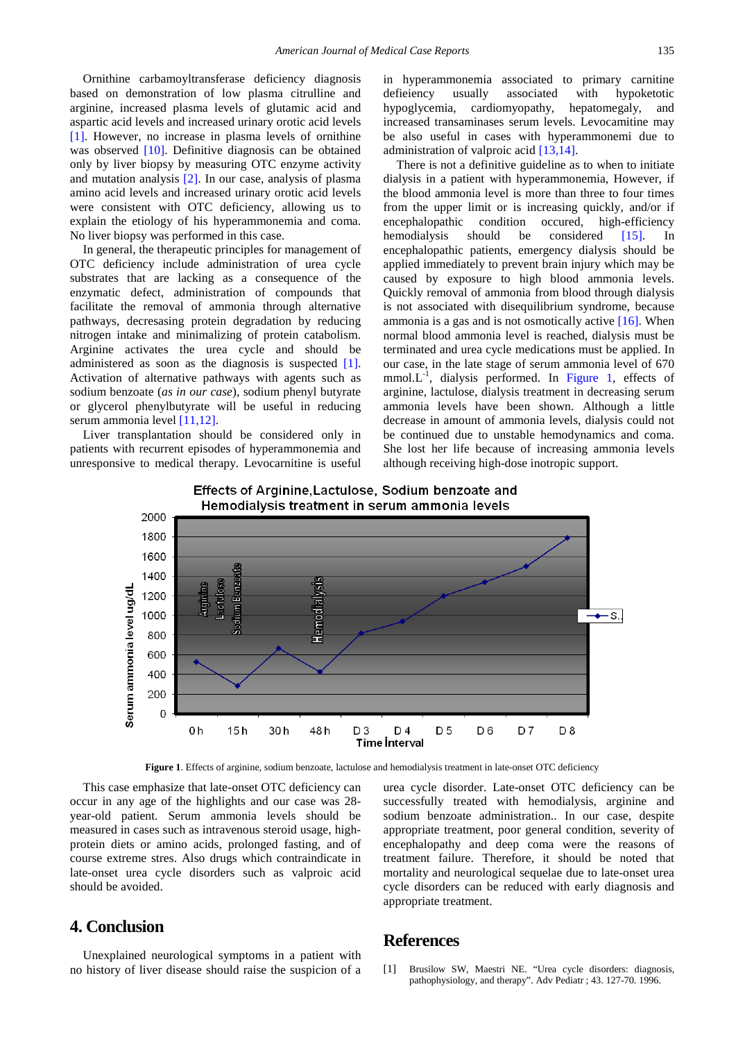Ornithine carbamoyltransferase deficiency diagnosis based on demonstration of low plasma citrulline and arginine, increased plasma levels of glutamic acid and aspartic acid levels and increased urinary orotic acid levels [\[1\].](#page-2-0) However, no increase in plasma levels of ornithine was observed [\[10\].](#page-3-6) Definitive diagnosis can be obtained only by liver biopsy by measuring OTC enzyme activity and mutation analysis [\[2\].](#page-3-0) In our case, analysis of plasma amino acid levels and increased urinary orotic acid levels were consistent with OTC deficiency, allowing us to explain the etiology of his hyperammonemia and coma. No liver biopsy was performed in this case.

In general, the therapeutic principles for management of OTC deficiency include administration of urea cycle substrates that are lacking as a consequence of the enzymatic defect, administration of compounds that facilitate the removal of ammonia through alternative pathways, decresasing protein degradation by reducing nitrogen intake and minimalizing of protein catabolism. Arginine activates the urea cycle and should be administered as soon as the diagnosis is suspected [\[1\].](#page-2-0) Activation of alternative pathways with agents such as sodium benzoate (*as in our case*), sodium phenyl butyrate or glycerol phenylbutyrate will be useful in reducing serum ammonia level [\[11,12\].](#page-3-7)

<span id="page-2-1"></span>Liver transplantation should be considered only in patients with recurrent episodes of hyperammonemia and unresponsive to medical therapy. Levocarnitine is useful

in hyperammonemia associated to primary carnitine defieiency usually associated with hypoketotic hypoglycemia, cardiomyopathy, hepatomegaly, and increased transaminases serum levels. Levocamitine may be also useful in cases with hyperammonemi due to administration of valproic acid [\[13,14\].](#page-3-8)

There is not a definitive guideline as to when to initiate dialysis in a patient with hyperammonemia, However, if the blood ammonia level is more than three to four times from the upper limit or is increasing quickly, and/or if encephalopathic condition occured, high-efficiency hemodialysis should be considered [\[15\].](#page-3-9) In encephalopathic patients, emergency dialysis should be applied immediately to prevent brain injury which may be caused by exposure to high blood ammonia levels. Quickly removal of ammonia from blood through dialysis is not associated with disequilibrium syndrome, because ammonia is a gas and is not osmotically active [\[16\].](#page-3-10) When normal blood ammonia level is reached, dialysis must be terminated and urea cycle medications must be applied. In our case, in the late stage of serum ammonia level of 670 mmol.L<sup>-1</sup>, dialysis performed. In [Figure 1,](#page-2-1) effects of arginine, lactulose, dialysis treatment in decreasing serum ammonia levels have been shown. Although a little decrease in amount of ammonia levels, dialysis could not be continued due to unstable hemodynamics and coma. She lost her life because of increasing ammonia levels although receiving high-dose inotropic support.



# Effects of Arginine, Lactulose, Sodium benzoate and

**Figure 1**. Effects of arginine, sodium benzoate, lactulose and hemodialysis treatment in late-onset OTC deficiency

This case emphasize that late-onset OTC deficiency can occur in any age of the highlights and our case was 28 year-old patient. Serum ammonia levels should be measured in cases such as intravenous steroid usage, highprotein diets or amino acids, prolonged fasting, and of course extreme stres. Also drugs which contraindicate in late-onset urea cycle disorders such as valproic acid should be avoided.

#### **4. Conclusion**

Unexplained neurological symptoms in a patient with no history of liver disease should raise the suspicion of a urea cycle disorder. Late-onset OTC deficiency can be successfully treated with hemodialysis, arginine and sodium benzoate administration.. In our case, despite appropriate treatment, poor general condition, severity of encephalopathy and deep coma were the reasons of treatment failure. Therefore, it should be noted that mortality and neurological sequelae due to late-onset urea cycle disorders can be reduced with early diagnosis and appropriate treatment.

#### **References**

<span id="page-2-0"></span>[1] Brusilow SW, Maestri NE. "Urea cycle disorders: diagnosis, pathophysiology, and therapy". Adv Pediatr ; 43. 127-70. 1996.